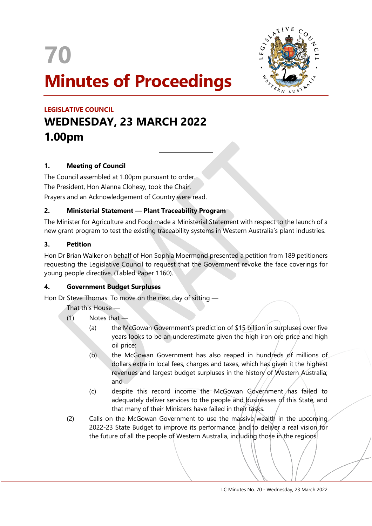



# **LEGISLATIVE COUNCIL WEDNESDAY, 23 MARCH 2022 1.00pm**

# **1. Meeting of Council**

The Council assembled at 1.00pm pursuant to order. The President, Hon Alanna Clohesy, took the Chair. Prayers and an Acknowledgement of Country were read.

# **2. Ministerial Statement — Plant Traceability Program**

 $\overline{a}$ 

The Minister for Agriculture and Food made a Ministerial Statement with respect to the launch of a new grant program to test the existing traceability systems in Western Australia's plant industries.

## **3. Petition**

Hon Dr Brian Walker on behalf of Hon Sophia Moermond presented a petition from 189 petitioners requesting the Legislative Council to request that the Government revoke the face coverings for young people directive. (Tabled Paper 1160).

## **4. Government Budget Surpluses**

Hon Dr Steve Thomas: To move on the next day of sitting —

That this House —

- $(1)$  Notes that  $-$ 
	- (a) the McGowan Government's prediction of \$15 billion in surpluses over five years looks to be an underestimate given the high iron ore price and high oil price;
	- (b) the McGowan Government has also reaped in hundreds of millions of dollars extra in local fees, charges and taxes, which has given it the highest revenues and largest budget surpluses in the history of Western Australia; and
	- $(c)$  despite this record income the McGowan Government has failed to adequately deliver services to the people and businesses of this State, and that many of their Ministers have failed in their tasks.
- (2) Calls on the McGowan Government to use the massive wealth in the upcoming 2022-23 State Budget to improve its performance, and to deliver a real vision for the future of all the people of Western Australia, including those in the regions.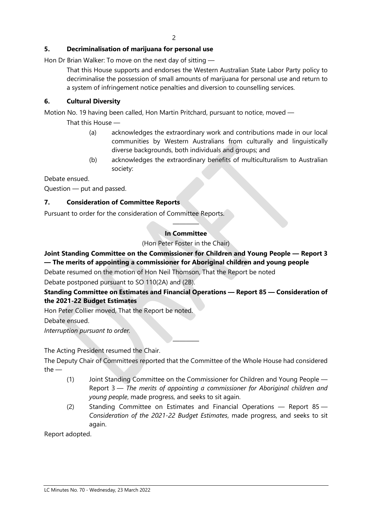# **5. Decriminalisation of marijuana for personal use**

Hon Dr Brian Walker: To move on the next day of sitting —

That this House supports and endorses the Western Australian State Labor Party policy to decriminalise the possession of small amounts of marijuana for personal use and return to a system of infringement notice penalties and diversion to counselling services.

## **6. Cultural Diversity**

Motion No. 19 having been called, Hon Martin Pritchard, pursuant to notice, moved —

That this House —

- (a) acknowledges the extraordinary work and contributions made in our local communities by Western Australians from culturally and linguistically diverse backgrounds, both individuals and groups; and
- (b) acknowledges the extraordinary benefits of multiculturalism to Australian society:

Debate ensued.

Question — put and passed.

## **7. Consideration of Committee Reports**

Pursuant to order for the consideration of Committee Reports.

# ———— **In Committee**

(Hon Peter Foster in the Chair)

# **Joint Standing Committee on the Commissioner for Children and Young People — Report 3 — The merits of appointing a commissioner for Aboriginal children and young people**

Debate resumed on the motion of Hon Neil Thomson, That the Report be noted Debate postponed pursuant to SO 110(2A) and (2B).

# **Standing Committee on Estimates and Financial Operations — Report 85 — Consideration of the 2021-22 Budget Estimates**

Hon Peter Collier moved, That the Report be noted.

Debate ensued.

*Interruption pursuant to order.*

The Acting President resumed the Chair.

The Deputy Chair of Committees reported that the Committee of the Whole House had considered the —

————

- (1) Joint Standing Committee on the Commissioner for Children and Young People Report 3 — *The merits of appointing a commissioner for Aboriginal children and young people*, made progress, and seeks to sit again.
- (2) Standing Committee on Estimates and Financial Operations Report 85 *Consideration of the 2021-22 Budget Estimates*, made progress, and seeks to sit again.

Report adopted.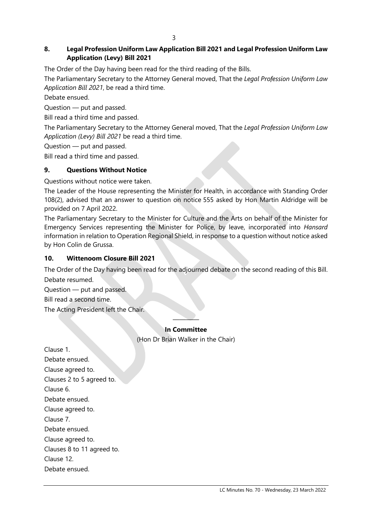### 3

# **8. Legal Profession Uniform Law Application Bill 2021 and Legal Profession Uniform Law Application (Levy) Bill 2021**

The Order of the Day having been read for the third reading of the Bills.

The Parliamentary Secretary to the Attorney General moved, That the *Legal Profession Uniform Law Application Bill 2021*, be read a third time.

Debate ensued.

Question — put and passed.

Bill read a third time and passed.

The Parliamentary Secretary to the Attorney General moved, That the *Legal Profession Uniform Law Application (Levy) Bill 2021* be read a third time.

Question — put and passed.

Bill read a third time and passed.

## **9. Questions Without Notice**

Questions without notice were taken.

The Leader of the House representing the Minister for Health, in accordance with Standing Order 108(2), advised that an answer to question on notice 555 asked by Hon Martin Aldridge will be provided on 7 April 2022.

The Parliamentary Secretary to the Minister for Culture and the Arts on behalf of the Minister for Emergency Services representing the Minister for Police, by leave, incorporated into *Hansard* information in relation to Operation Regional Shield, in response to a question without notice asked by Hon Colin de Grussa.

## **10. Wittenoom Closure Bill 2021**

The Order of the Day having been read for the adjourned debate on the second reading of this Bill. Debate resumed.

Question — put and passed.

Bill read a second time.

The Acting President left the Chair.

## ———— **In Committee**

(Hon Dr Brian Walker in the Chair)

Clause 1. Debate ensued. Clause agreed to. Clauses 2 to 5 agreed to. Clause 6. Debate ensued. Clause agreed to. Clause 7. Debate ensued. Clause agreed to. Clauses 8 to 11 agreed to. Clause 12. Debate ensued.